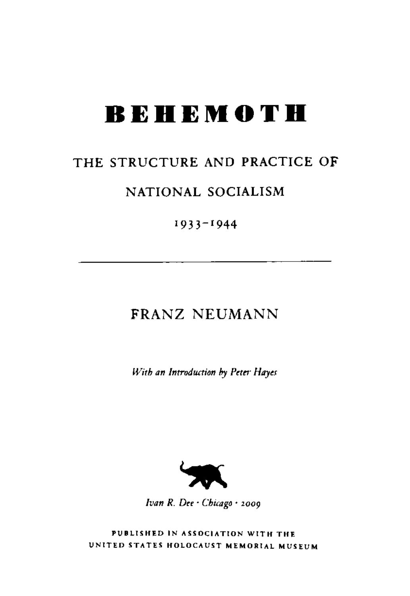# **BEHEMOTH**

### **THE STRUCTURE AND PRACTICE OF**

### **NATIONAL SOCIALISM**

1933-1944

## **FRANZ NEUMANN**

*W ith an Introduction by Peter- Hayes*



*Ivan R. Dee ■ Chicago • 2009*

PUBLISHED IN ASSOCIATION WITH THE UNITED STATES HOLOCAUST MEMORIAL MUSEUM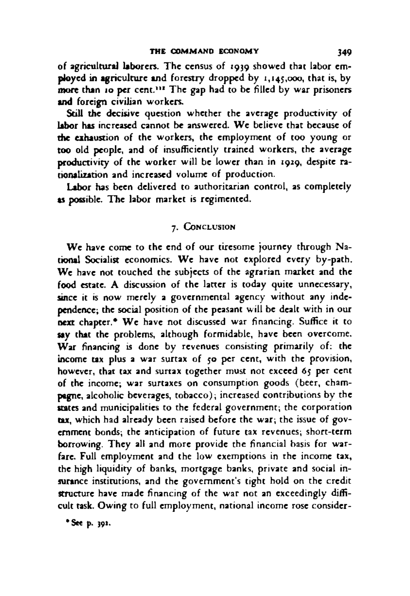of agricultural laborers. The census of 1939 showed that labor employed in agriculture and forestry dropped by 1,145,000, that is, by more than 10 per cent.<sup>112</sup> The gap had to be filled by war prisoners and foreign civilian workers.

Still the decisive question whether the average productivity of labor has increased cannot be answered. We believe that because of the exhaustion of the workers, the employment of too young or too old people, and of insufficiently trained workers, the average productivity of the worker will be lower than in 1929, despite rationalization and increased volume of production.

Labor has been delivered to authoritarian control, as completely as possible. The labor market is regimented.

#### 7. CONCLUSION

We have come to the end of our tiresome journey through National Socialist economics. We have not explored every by-path. We have not touched the subjects of the agrarian market and the food estate. A discussion of the latter is today quite unnecessary, since it is now merely a governmental agency without any independence; the social position of the peasant will be dealt with in our next chapter.\* We have not discussed war financing. Suffice it to say that the problems, although formidable, have been overcome. War financing is done by revenues consisting primarily of: the income tax plus a war surtax of 50 per cent, with the provision, however, that tax and surtax together must not exceed 65 per cent of the income; war surtaxes on consumption goods (beer, champagne, alcoholic beverages, tobacco); increased contributions by the states and municipalities to the federal government; the corporation tax, which had already been raised before the war; the issue of government bonds; the anticipation of future tax revenues; short-term borrowing. They all and more provide the financial basis for warfare. Full employment and the low exemptions in the income tax, the high liquidity of banks, mortgage banks, private and social insurance institutions, and the government's tight hold on the credit structure have made financing of the war not an exceedingly difficult task. Owing to full employment, national income rose consider-

<sup>\*</sup> See p. 391.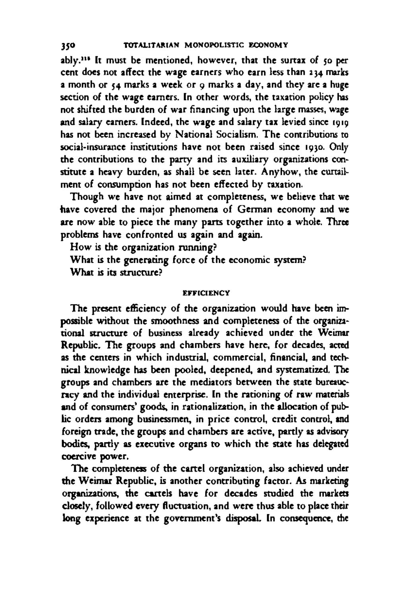$ably.$ <sup>116</sup> It must be mentioned, however, that the surtax of 50 per cent does not affect the wage earners who earn less than 234 marks a month or 54 marks a week or 9 marks a day, and they are a huge section of the wage earners. In other words, the taxation policy has not shifted the burden of war financing upon the large masses, wage and salary earners. Indeed, the wage and salary tax levied since 1919 has not been increased by National Socialism. The contributions to social-insurance institutions have not been raised since 1930. Only the contributions to the party and its auxiliary organizations constitute a heavy burden, as shall be seen later. Anyhow, the curtailment of consumption has not been effected by taxation.

Though we have not aimed at completeness, we believe that we have covered the major phenomena of German economy and we are now able to piece the many parts together into a whole. Three problems have confronted us again and again.

How is the organization running?

What is the generating force of the economic system? What is its structure?

#### **EFFICIENCY**

The present efficiency of the organization would have been impossible without the smoothness and completeness of the organizational structure of business already achieved under the Weimar Republic. The groups and chambers have here, for decades, acted as the centers in which industrial, commercial, financial, and technical knowledge has been pooled, deepened, and systematized. The groups and chambers are the mediators between the state bureaucracy and the individual enterprise. In the rationing of raw materials and of consumers' goods, in rationalization, in the allocation of public orders among businessmen, in price control, credit control, and foreign trade, the groups and chambers are active, partly as advisory bodies, partly as executive organs to which the state has delegated coercive power.

The completeness of the cartel organization, also achieved under the Weimar Republic, is another contributing factor. As marketing organizations, the cartels have for decades studied the markets closely, followed every fluctuation, and were thus able to place their long experience at the government's disposal. In consequence, the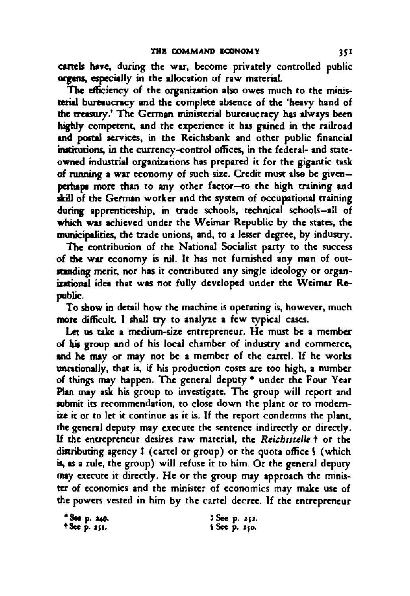cartels have, during the war, become privately controlled public organs, especially in the allocation of raw material.

The efficiency of the organization also owes much to the ministerial bureaucracy and the complete absence of the 'heavy hand of the treasury.' The German ministerial bureaucracy has always been highly competent, and the experience it has gained in the railroad and postal services, in the Reichsbank and other public financial institutions, in the currency-control offices, in the federal- and stateowned industrial organizations has prepared it for the gigantic task *of* miming a war economy of such size. Credit must also be given perhaps more than to any other factor—to the high training and skill of the German worker and the system of occupational training during apprenticeship, in trade schools, technical schools—all of which was achieved under the Weimar Republic by the states, the municipalities, the trade unions, and, to a lesser degree, by industry.

The contribution of the National Socialist party to the success of the war economy is nil. It has not furnished any man of outstanding merit, nor has it contributed any single ideology or organizational idea that was not fully developed under the Weimar Republic.

To show in detail how the machine is operating is, however, much more difficult. I shall try to analyze a few typical cases.

Let us take a medium-size entrepreneur. He must be a member of his group and of his local chamber of industry and commerce, and he may or may not be a member of the cartel. If he works unrationally, that is, if his production costs are too high, a number of things may happen. The general deputy • under the Four Year Plan may ask his group to investigate. The group will report and submit its recommendation, to close down the plant or to modernize it or to let it continue as it is. If the report condemns the plant, the general deputy may execute the sentence indirectly or directly. If the entrepreneur desires raw material, the *Reichsstelle* t or the distributing agency 1 (cartel or group) or the quota office § (which is, as a rule, the group) will refuse it to him. Or the general deputy may execute it directly. He or the group may approach the minister of economics and the minister of economics may make use of the powers vested in him by the cartel decree. If the entrepreneur

| * See p. 249.<br>† See p. 251. | <sup>3</sup> See p. 252. |
|--------------------------------|--------------------------|
|                                | \$ See p. 250.           |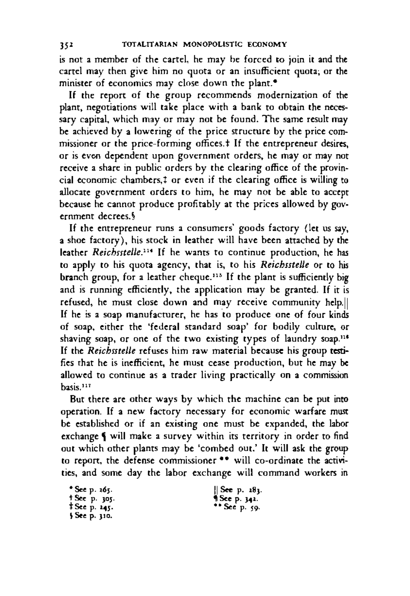is not a member of the cartel, he may be forced to join it and the cartel may then give him no quota or an insufficient quota; or the minister of economics may close down the plant.<sup>\*</sup>

If the report of the group recommends modernization of the plant, negotiations will take place with a bank to obtain the necessary capital, which may or may not be found. The same result may be achieved by a lowering of the price structure by the price commissioner or the price-forming offices.<sup>†</sup> If the entrepreneur desires, or is even dependent upon government orders, he may or may not receive a share in public orders by the clearing office of the provincial economic chambers,! or even if the clearing office is willing to allocate government orders to him, he may not be able to accept because he cannot produce profitably at the prices allowed by government decrees. §

If the entrepreneur runs a consumers' goods factory (let us say, a shoe factory), his stock in leather will have been attached by the leather *Reichsstelle.11\** If he wants to continue production, he has to apply to his quota agency, that is, to his *Reichsstelle* or to his branch group, for a leather cheque.<sup>115</sup> If the plant is sufficiently big and is running efficiently, the application may be granted. If it is refused, he must close down and may receive community help.|| If he is a soap manufacturer, he has to produce one of four kinds of soap, either the 'federal standard soap' for bodily culture, or shaving soap, or one of the two existing types of laundry soap.<sup>118</sup> If the *Reichsstelle* refuses him raw material because his group testifies that he is inefficient, he must cease production, but he may be allowed to continue as a trader living practically on a commission basis.117

But there are other ways by which the machine can be put into operation. If a new factory necessary for economic warfare must be established or if an existing one must be expanded, the labor exchange § will make a survey within its territory in order to find out which other plants may be 'combed out.' It will ask the group to report, the defense commissioner \*\* will co-ordinate the activities, and some day the labor exchange will command workers in

| * See p. 265.             | $\parallel$ See p. 283. |
|---------------------------|-------------------------|
| † Seelip, ijos, li        | ¶Sce p. 342.            |
| $\frac{1}{2}$ See p. 245. | $•$ See p. $59.$        |
| 5 See p. 310.             |                         |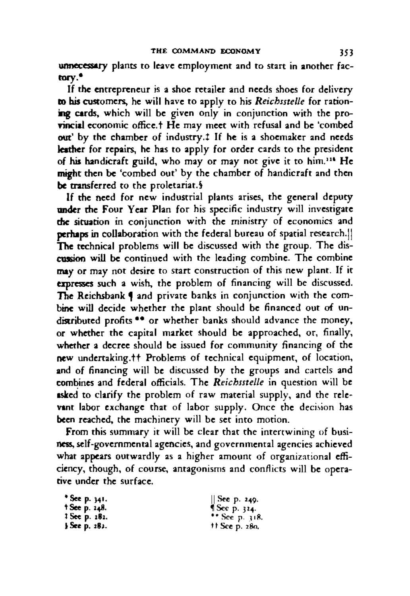unnecessary plants to leave employment and to start in another factory.\*

If the entrepreneur is a shoe retailer and needs shoes for delivery to his customers, he will have to apply to his *Reichsstelle* for rationing cards, which will be given only in conjunction with the provincial economic office.<sup>†</sup> He may meet with refusal and be 'combed out' by the chamber of industry*.t* If he is a shoemaker and needs leather for repairs, he has to apply for order cards to the president of his handicraft guild, who may or may not give it to him.11\* He might then be 'combed out' by the chamber of handicraft and then be transferred to the proletariat.§

If the need for new industrial plants arises, the general deputy under the Four Year Plan for his specific industry will investigate the situation in conjunction with the ministry of economics and perhaps in collaboration with the federal bureau of spatial research. || The technical problems will be discussed with the group. The discussion will be continued with the leading combine. The combine may or may not desire to start construction of this new plant. If it expresses such a wish, the problem of financing will be discussed. The Reichsbank  $\P$  and private banks in conjunction with the combine will decide whether the plant should be financed out of undistributed profits \*\* or whether banks should advance the money, or whether the capital market should be approached, or, finally, whether a decree should be issued for community financing of the new undertaking.<sup>++</sup> Problems of technical equipment, of location, and of financing will be discussed by the groups and cartels and combines and federal officials. The *Reichsstelle* in question will be asked to clarify the problem of raw material supply, and the relevant labor exchange that of labor supply. Once the decision has been reached, the machinery will be set into motion.

From this summary it will be clear that the intertwining of business, self-governmental agencies, and governmental agencies achieved what appears outwardly as a higher amount of organizational efficiency, though, of course, antagonisms and conflicts will be operative under the surface.

\* See p. 341.  $||$  See p. 249.<br>† See p. 248.  $\Vert$  See p. 324. f See p. 324. t See p. 282. •• See p. 318.<br> **See p. 282.** •• See p. 280.  $#$  See p.  $280.$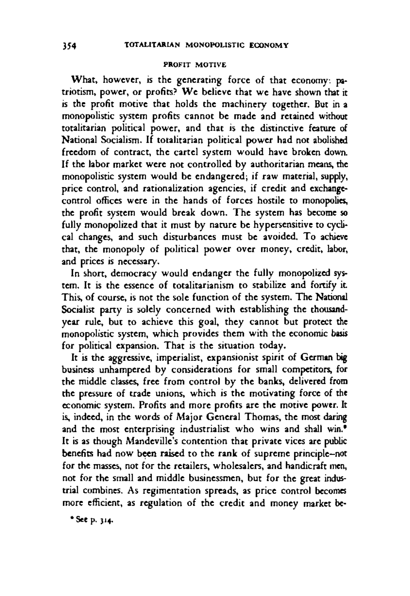#### PROFIT MOTIVE

What, however, is the generating force of that economy: patriotism, power, or profits? We believe that we have shown that it is the profit motive that holds the machinery together. But in a monopolistic system profits cannot be made and retained without totalitarian political power, and that is the distinctive feature of National Socialism. If totalitarian political power had not abolished freedom of contract, the cartel system would have broken down. If the labor market were not controlled by authoritarian means, the monopolistic system would be endangered; if raw material, supply, price control, and rationalization agencies, if credit and exchangecontrol offices were in the hands of forces hostile to monopolies, the profit system would break down. The system has become so fully monopolized that it must by nature be hypersensitive to cyclical changes, and such disturbances must be avoided. To achieve that, the monopoly of political power over money, credit, labor, and prices is necessary.

In short, democracy would endanger the fully monopolized system. It is the essence of totalitarianism to stabilize and fortify it. This, of course, is not the sole function of the system. The National Socialist party is solely concerned with establishing the thousandyear rule, but to achieve this goal, they cannot but protect the monopolistic system, which provides them with the economic basis for political expansion. That is the situation today.

It is the aggressive, imperialist, expansionist spirit of German big business unhampered by considerations for small competitors, for the middle classes, free from control by the banks, delivered from the pressure of trade unions, which is the motivating force of the economic system. Profits and more profits are the motive power. It is, indeed, in the words of Major General Thomas, the most daring and the most enterprising industrialist who wins and shall win.<sup>\*</sup> It is as though Mandeville's contention that private vices are public benefits had now been raised to the rank of supreme principle-not for the masses, not for the retailers, wholesalers, and handicraft men, not for the small and middle businessmen, but for the great industrial combines. As regimentation spreads, as price control becomes more efficient, as regulation of the credit and money market bc-

\* See p. 314.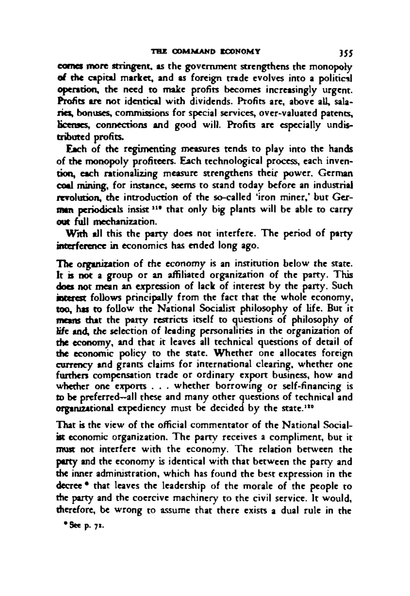comes more stringent, as the government strengthens the monopoly of the capital market, and as foreign trade evolves into a political operation, the need to make profits becomes increasingly urgent. Profits are not identical with dividends. Profits are, above all, salaries, bonuses, commissions for special services, over-valuated patents, licenses, connections and good will. Profits are especially undistributed profits.

Each of the regimenting measures tends to play into the hands of the monopoly profiteers. Each technological process, each invention, each rationalizing measure strengthens their power. German coal mining, for instance, seems to stand today before an industrial revolution, the introduction of the so-called 'iron miner,' but German periodicals insist "<sup>10</sup> that only big plants will be able to carry out full mechanization.

With all this the party does not interfere. The period of party interference in economics has ended long ago.

The organization of the *economy* is an institution below the state. It is not **a** group or an affiliated organization of the party. This does not mean an expression of lack of interest by the party. Such interest follows principally from the fact that the whole economy, too, has to follow the National Socialist philosophy of life. But it means that the party restricts itself to questions of philosophy of life and, the selection of leading personalities in the organization of the economy, and that it leaves all technical questions of detail of the economic policy to the state. Whether one allocates foreign currency and grants claims for international clearing, whether one furthers compensation trade or ordinary export business, how and whether one exports . . . whether borrowing or self-financing is to be preferred—all these and many other questions of technical and organizational expediency must be decided by the state.110

That is the view of the official commentator of the National Socialist economic organization. The party receives a compliment, but it must not interfere with the economy. The relation between the party and the economy is identical with that between the party and the inner administration, which has found the best expression in the decree • that leaves the leadership of the morale of the people to the party and the coercive machinery to the civil service. It would, therefore, be wrong to assume that there exists a dual rule in the

**• See p. 71.**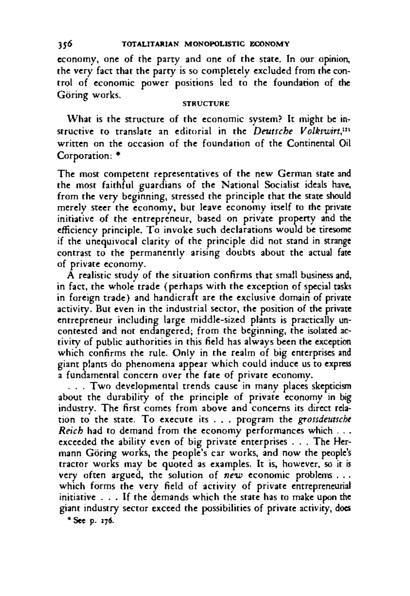#### **3 5 6 TOTALITARIAN MONOPOLISTIC ECONOMY**

cconomy, one of the party and one of the state. In our opinion, the very fact that the party is so completely excluded from the control of economic power positions led to the foundation of the Göring works.

#### **STRUCTURE**

What is the structure of the economic system? It might be instructive to translate an editorial in the *Deutsche Volkswirt*,<sup>121</sup> written on the occasion of the foundation of the Continental Oil Corporation: \*

The most competent representatives of the new German state and the most faithful guardians of the National Socialist ideals have, from the very beginning, stressed the principle that the state should merely steer the economy, but leave economy itself to the private initiative of the entrepreneur, based on private property and the efficiency principle. To invoke such declarations would be tiresome if the unequivocal clarity of the principle did not stand in strange contrast to the permanently arising doubts about the actual fate of private economy.

 $\overrightarrow{A}$  realistic study of the situation confirms that small business and, in fact, the whole trade (perhaps with the exception of special tasks in foreign trade) and handicraft are the exclusive domain of private activity. But even in the industrial sector, the position of the private entrepreneur including large middle-sized plants is practically uncontested and not endangered; from the beginning, the isolated activity of public authorities in this field has always been the exception which confirms the rule. Only in the realm of big enterprises and giant plants do phenomena appear which could induce us to express a fundamental concern over the fate of private economy.

. . . Two developmental trends cause in many places skepticism about the durability of the principle of private economy in big industry. The first comes from above and concerns its direct relation to the state. To execute its . . . program the *grossdeutsche Reich* had to demand from the economy performances which . . . exceeded the ability even of big private enterprises . . . The Hermann Goring works, the people's car works, and now the people's tractor works may be quoted as examples. It is, however, so it is very often argued, the solution of *new* economic problems . . . which forms the very field of activity of private entrepreneurial initiative . . . If the demands which the state has to make upon the giant industry sector exceed the possibilities of private activity, does <sup>\*</sup> See p. 276.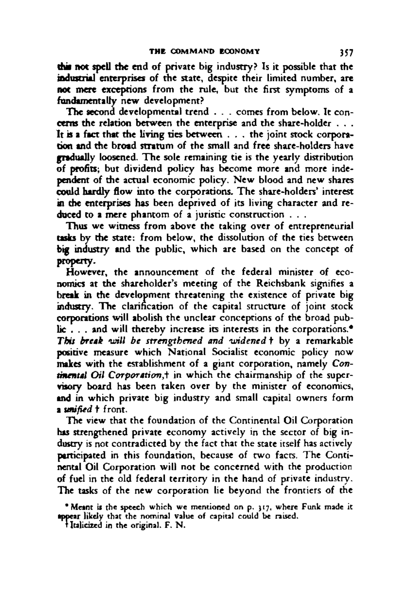this not spell the end of private big industry? Is it possible that the industrial enterprises of the state, despite their limited number, are not mere exceptions from the rule, but the first symptoms of a fundamentally new development?

The second developmental trend . . . comes from below. It concerns the relation between the enterprise and the share-holder . . . It is a fact that the living ties between . . . the joint stock corporation and the broad stratum of the small and free share-holders have gradually loosened. The sole remaining tie is the yearly distribution of profits; but dividend policy has become more and more independent of the actual economic policy. New blood and new shares could hardly flow into the corporations. The share-holders' interest in the enterprises has been deprived of its living character and reduced to a mere phantom of a juristic construction . . .

Thus we witness from above the taking over of entrepreneurial tasks by the state: from below, the dissolution of the ties between big industry and the public, which are based on the concept of property.

However, the announcement of the federal minister of economics at the shareholder's meeting of the Reichsbank signifies a break in the development threatening the existence of private big industry. The clarification of the capital structure of joint stock corporations will abolish the unclear conceptions of the broad public . . . and will thereby increase its interests in the corporations.<sup>\*</sup> *This break will be strengthened and widened* t by a remarkable positive measure which National Socialist economic policy now makes with the establishment of a giant corporation, namely *Continental Oil Corporation,*t in which the chairmanship of the supervisory board has been taken over by the minister of economics, and in which private big industry and small capital owners form a *unified* t front.

The view that the foundation of the Continental Oil Corporation has strengthened private economy actively in the sector of big industry is not contradicted by the fact that the state itself has actively participated in this foundation, because of two facts. The Continental Oil Corporation will not be concerned with the production of fuel in the old federal territory in the hand of private industry. The tasks of the new corporation lie beyond the frontiers of the

<sup>\*</sup> Meant is the speech which we mentioned on p. 317, where Funk made it appear likely that the nominal value of capital could be raised.

<sup>&</sup>lt;sup>†</sup> Italicized in the original. F. N.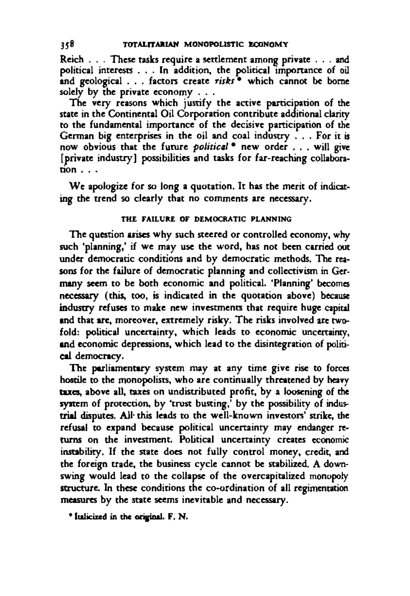Reich . . . These tasks require a settlement among private . . . and political interests . . . In addition, the political importance of oil and geological . . . factors create *risks* • which cannot be borne solely by the private economy . . .

The very reasons which justify the active participation of the state in the Continental Oil Corporation contribute additional clarity to the fundamental importance of the decisive participation of the German big enterprises in the oil and coal industry . . . For it is now obvious that the future *political \** new order . . . will give [private industry] possibilities and tasks for far-reaching collaboration . . .

We apologize for so long a quotation. It has the merit of indicating the trend so clearly that no comments are necessary.

#### THE FAILURE OF DEMOCRATIC PLANNING

The question arises why such steered or controlled economy, why such 'planning,' if we may use the word, has not been carried out under democratic conditions and by democratic methods. The reasons for the failure of democratic planning and collectivism in Germany seem to be both economic and political. 'Planning' becomes necessary (this, too, is indicated in the quotation above) because industry refuses to make new investments that require huge capital and that are, moreover, extremely risky. The risks involved are twofold: political uncertainty, which leads to economic uncertainty, and economic depressions, which lead to the disintegration of political democracy.

The parliamentary system may at any time give rise to forces hostile to the monopolists, who are continually threatened by heavy taxes, above all, taxes on undistributed profit, by a loosening of the system of protection, by 'trust busting,' by the possibility of industrial disputes. All this leads to the well-known investors' strike, the refusal to expand because political uncertainty may endanger returns on the investment. Political uncertainty creates economic instability. If the state does not fully control money, credit, and the foreign trade, the business cycle cannot be stabilized. A downswing would lead to the collapse of the overcapitalized monopoly structure. In these conditions the co-ordination of all regimentation measures by the state seems inevitable and necessary.

\* Italicized in the original. F. N.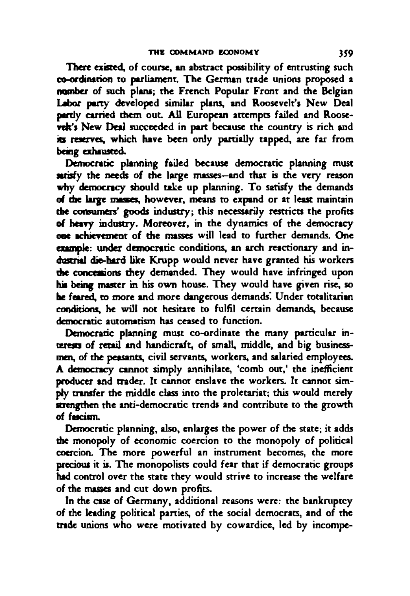There existed, of course, an abstract possibility of entrusting such co-ordination to parliament. The German trade unions proposed a number of such plans; the French Popular Front and the Belgian Labor party developed similar plans, and Roosevelt's New Deal pardy carried them out All European attempts failed and Roosevek's New Deal succeeded in part because the country is rich and its reserves, which have been only partially tapped, are far from being exhausted.

Democratic planning failed because democratic planning must satisfy the needs of the large masses-and that is the very reason why democracy should take up planning. To satisfy the demands of the large masses, however, means to expand or at least maintain the consumers' goods industry; this necessarily restricts the profits of heavy industry. Moreover, in the dynamics of the democracy one achievement of the masses will lead to further demands. One example: under democratic conditions, an arch reactionary and industrial die-hard like Krupp would never have granted his workers die concessions they demanded. They would have infringed upon **his** being master in his own house. They would have given rise, so he feared, to more and more dangerous demands! Under totalitarian conditions, he will not hesitate to fulfil certain demands, because democratic automatism has ceased to function.

Democratic planning must co-ordinate the many particular interests of retail and handicraft, of small, middle, and big businessmen, of the peasants, civil servants, workers, and salaried employees. A democracy cannot simply annihilate, 'comb out,' the inefficient producer and trader. It cannot enslave the workers. It cannot simply transfer the middle class into the proletariat; this would merely strengthen the anti-democratic trends and contribute to the growth of fascism.

Democratic planning, also, enlarges the power of the state; it adds the monopoly of economic coercion to the monopoly of political coercion. The more powerful an instrument becomes, the more precious it is. The monopolists could fear that if democratic groups had control over the state they would strive to increase the welfare of the masses and cut down profits.

In the case of Germany, additional reasons were: the banktuptcy of the leading political parties, of the social democrats, and of the trade unions who were motivated by cowardice, led by incompe-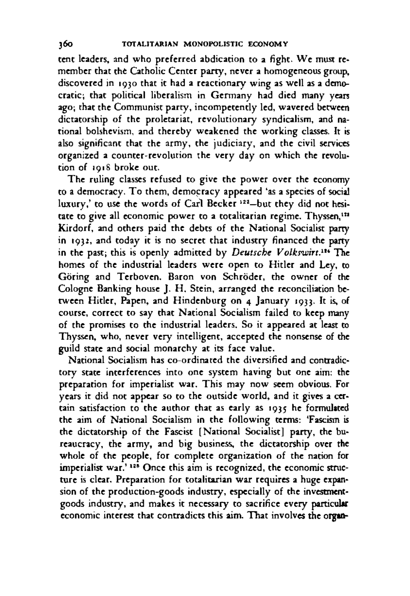tent leaders, and who preferred abdication to a fight. We must remember that the Catholic Center party, never a homogeneous group, discovered in 1930 that it had a reactionary wing as well as a democratic; that political liberalism in Germany had died many years ago; that the Communist party, incompetently led, wavered between dictatorship of the proletariat, revolutionary syndicalism, and national bolshevism, and thereby weakened the working classes. It is also significant that the army, the judiciary, and the civil services organized a counter-revolution the very day on which the revolution of 1918 broke out.

The ruling classes refused to give the power over the economy to a democracy. To them, democracy appeared 'as a species of social luxury,' to use the words of Carl Becker 122—but they did not hesitate to give all economic power to a totalitarian regime. Thyssen,<sup>121</sup> Kirdorf, and others paid the debts of the National Socialist party in 1932, and today it is no secret that industry financed the party in the past; this is openly admitted by *Deutsche Volkswirt.1\*\** The homes of the industrial leaders were open to Hitler and Ley, to Göring and Terboven. Baron von Schröder, the owner of the Cologne Banking house J. H. Stein, arranged the reconciliation between Hitler, Papen, and Hindenburg on 4 January 1933. It is, of course, correct to say that National Socialism failed to keep many of the promises to the industrial leaders. So it appeared at least to Thyssen, who, never very intelligent, accepted the nonsense of the guild state and social monarchy at its face value.

National Socialism has co-ordinated the diversified and contradictory state interferences into one system having but one aim: the preparation for imperialist war. This may now seem obvious. For years it did not appear so to the outside world, and it gives a certain satisfaction to the author that as early as 1935 he formulated the aim of National Socialism in the following terms: 'Fascism is the dictatorship of the Fascist [National Socialist] party, the bureaucracy, the army, and big business, the dictatorship over the whole of the people, for complete organization of the nation for imperialist war.<sup>'128</sup> Once this aim is recognized, the economic structure is clear. Preparation for totalitarian war requires a huge expansion of the production-goods industry, especially of the investmentgoods industry, and makes it necessary to sacrifice every particular economic interest that contradicts this aim. That involves the organ-